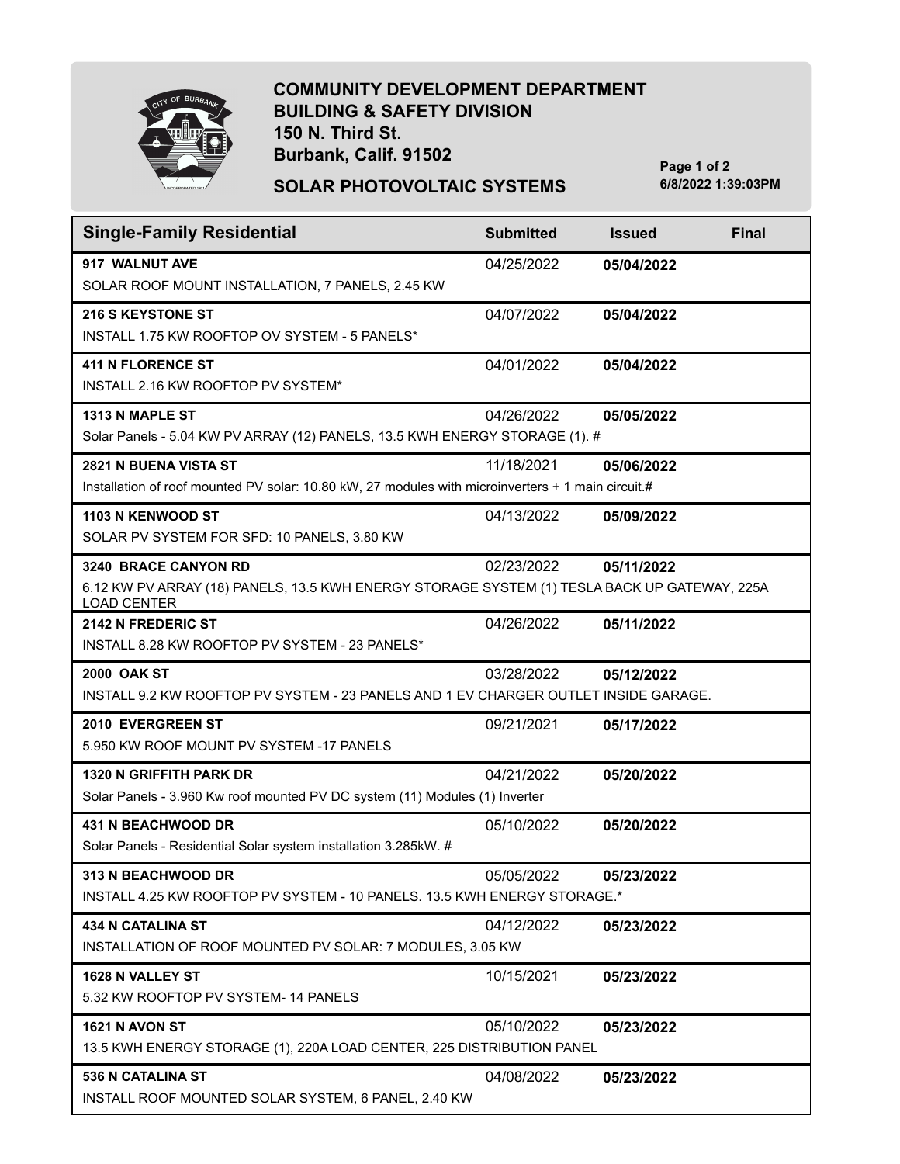

## **COMMUNITY DEVELOPMENT DEPARTMENT BUILDING & SAFETY DIVISION 150 N. Third St. Burbank, Calif. 91502**

**SOLAR PHOTOVOLTAIC SYSTEMS 6/8/2022 1:39:03PM**

**Page 1 of 2**

| <b>Single-Family Residential</b>                                                                                                           | <b>Submitted</b> | <b>Issued</b> | <b>Final</b> |  |
|--------------------------------------------------------------------------------------------------------------------------------------------|------------------|---------------|--------------|--|
| 917 WALNUT AVE<br>SOLAR ROOF MOUNT INSTALLATION, 7 PANELS, 2.45 KW                                                                         | 04/25/2022       | 05/04/2022    |              |  |
| <b>216 S KEYSTONE ST</b><br>INSTALL 1.75 KW ROOFTOP OV SYSTEM - 5 PANELS*                                                                  | 04/07/2022       | 05/04/2022    |              |  |
| <b>411 N FLORENCE ST</b><br>INSTALL 2.16 KW ROOFTOP PV SYSTEM*                                                                             | 04/01/2022       | 05/04/2022    |              |  |
| <b>1313 N MAPLE ST</b><br>04/26/2022<br>05/05/2022<br>Solar Panels - 5.04 KW PV ARRAY (12) PANELS, 13.5 KWH ENERGY STORAGE (1). #          |                  |               |              |  |
| 2821 N BUENA VISTA ST<br>Installation of roof mounted PV solar: 10.80 kW, 27 modules with microinverters + 1 main circuit.#                | 11/18/2021       | 05/06/2022    |              |  |
| 1103 N KENWOOD ST<br>SOLAR PV SYSTEM FOR SFD: 10 PANELS, 3.80 KW                                                                           | 04/13/2022       | 05/09/2022    |              |  |
| 3240 BRACE CANYON RD<br>6.12 KW PV ARRAY (18) PANELS, 13.5 KWH ENERGY STORAGE SYSTEM (1) TESLA BACK UP GATEWAY, 225A<br><b>LOAD CENTER</b> | 02/23/2022       | 05/11/2022    |              |  |
| <b>2142 N FREDERIC ST</b><br>INSTALL 8.28 KW ROOFTOP PV SYSTEM - 23 PANELS*                                                                | 04/26/2022       | 05/11/2022    |              |  |
| <b>2000 OAK ST</b><br>INSTALL 9.2 KW ROOFTOP PV SYSTEM - 23 PANELS AND 1 EV CHARGER OUTLET INSIDE GARAGE.                                  | 03/28/2022       | 05/12/2022    |              |  |
| 2010 EVERGREEN ST<br>5.950 KW ROOF MOUNT PV SYSTEM -17 PANELS                                                                              | 09/21/2021       | 05/17/2022    |              |  |
| <b>1320 N GRIFFITH PARK DR</b><br>Solar Panels - 3.960 Kw roof mounted PV DC system (11) Modules (1) Inverter                              | 04/21/2022       | 05/20/2022    |              |  |
| <b>431 N BEACHWOOD DR</b><br>Solar Panels - Residential Solar system installation 3.285kW. #                                               | 05/10/2022       | 05/20/2022    |              |  |
| 313 N BEACHWOOD DR<br>INSTALL 4.25 KW ROOFTOP PV SYSTEM - 10 PANELS. 13.5 KWH ENERGY STORAGE.*                                             | 05/05/2022       | 05/23/2022    |              |  |
| <b>434 N CATALINA ST</b><br>INSTALLATION OF ROOF MOUNTED PV SOLAR: 7 MODULES, 3.05 KW                                                      | 04/12/2022       | 05/23/2022    |              |  |
| 1628 N VALLEY ST<br>5.32 KW ROOFTOP PV SYSTEM- 14 PANELS                                                                                   | 10/15/2021       | 05/23/2022    |              |  |
| 1621 N AVON ST<br>13.5 KWH ENERGY STORAGE (1), 220A LOAD CENTER, 225 DISTRIBUTION PANEL                                                    | 05/10/2022       | 05/23/2022    |              |  |
| <b>536 N CATALINA ST</b><br>INSTALL ROOF MOUNTED SOLAR SYSTEM, 6 PANEL, 2.40 KW                                                            | 04/08/2022       | 05/23/2022    |              |  |